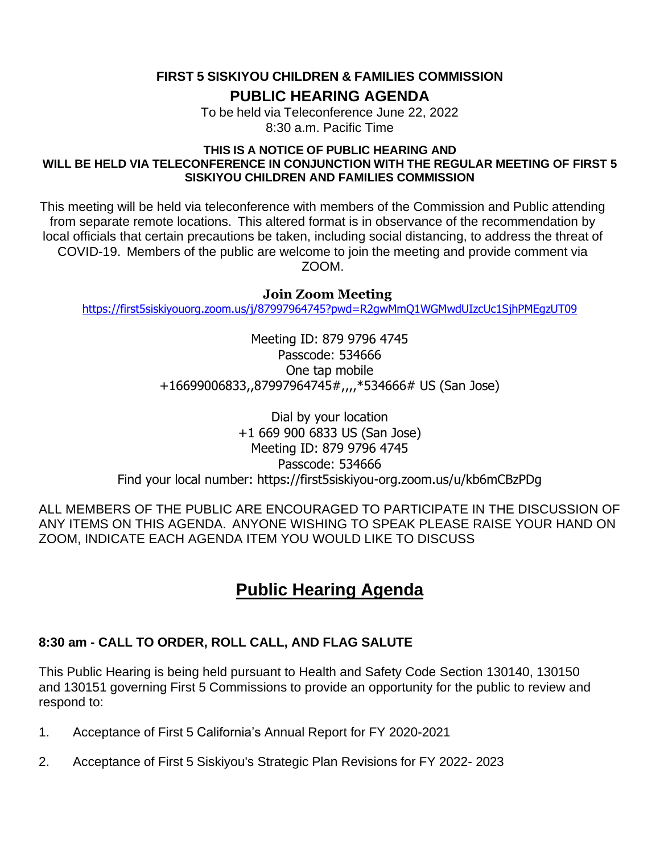**FIRST 5 SISKIYOU CHILDREN & FAMILIES COMMISSION**

**PUBLIC HEARING AGENDA**

To be held via Teleconference June 22, 2022 8:30 a.m. Pacific Time

#### **THIS IS A NOTICE OF PUBLIC HEARING AND WILL BE HELD VIA TELECONFERENCE IN CONJUNCTION WITH THE REGULAR MEETING OF FIRST 5 SISKIYOU CHILDREN AND FAMILIES COMMISSION**

This meeting will be held via teleconference with members of the Commission and Public attending from separate remote locations. This altered format is in observance of the recommendation by local officials that certain precautions be taken, including social distancing, to address the threat of COVID-19. Members of the public are welcome to join the meeting and provide comment via ZOOM.

### **Join Zoom Meeting**

<https://first5siskiyouorg.zoom.us/j/87997964745?pwd=R2gwMmQ1WGMwdUIzcUc1SjhPMEgzUT09>

Meeting ID: 879 9796 4745 Passcode: 534666 One tap mobile +16699006833,,87997964745#,,,,\*534666# US (San Jose)

Dial by your location +1 669 900 6833 US (San Jose) Meeting ID: 879 9796 4745 Passcode: 534666 Find your local number: https://first5siskiyou-org.zoom.us/u/kb6mCBzPDg

ALL MEMBERS OF THE PUBLIC ARE ENCOURAGED TO PARTICIPATE IN THE DISCUSSION OF ANY ITEMS ON THIS AGENDA. ANYONE WISHING TO SPEAK PLEASE RAISE YOUR HAND ON ZOOM, INDICATE EACH AGENDA ITEM YOU WOULD LIKE TO DISCUSS

# **Public Hearing Agenda**

## **8:30 am - CALL TO ORDER, ROLL CALL, AND FLAG SALUTE**

This Public Hearing is being held pursuant to Health and Safety Code Section 130140, 130150 and 130151 governing First 5 Commissions to provide an opportunity for the public to review and respond to:

- 1. Acceptance of First 5 California's Annual Report for FY 2020-2021
- 2. Acceptance of First 5 Siskiyou's Strategic Plan Revisions for FY 2022- 2023